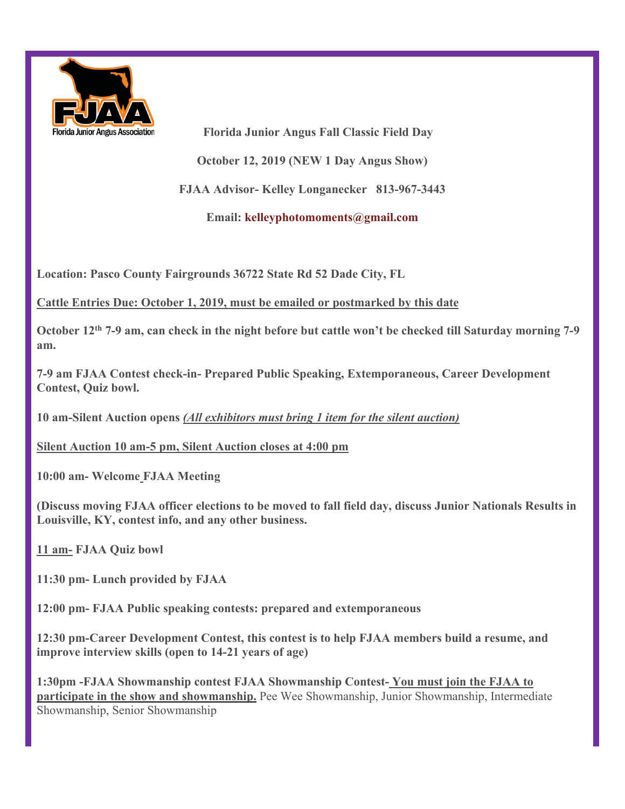

Florida Junior Angus Association **Florida Junior Angus Fall Classic Field Day October 12, 2019 (NEW 1 Day Angus Show) FJAA Advisor- Kelley Longanecker 813-967-3443 Email: kelleyphotomoments@gmail.com**

**Location: Pasco County Fairgrounds 36722 State Rd 52 Dade City, FL** 

## **Cattle Entries Due: October 1, 2019, must be emailed or postmarked by this date**

**October 12th 7-9 am, can check in the night before but cattle won't be checked till Saturday morning 7-9 am.**

**7-9 am FJAA Contest check-in- Prepared Public Speaking, Extemporaneous, Career Development Contest, Quiz bowl.**

**10 am-Silent Auction opens** *(All exhibitors must bring 1 item for the silent auction)*

**Silent Auction 10 am-5 pm, Silent Auction closes at 4:00 pm**

**10:00 am- Welcome FJAA Meeting** 

**(Discuss moving FJAA officer elections to be moved to fall field day, discuss Junior Nationals Results in Louisville, KY, contest info, and any other business.**

**11 am- FJAA Quiz bowl**

**11:30 pm- Lunch provided by FJAA**

**12:00 pm- FJAA Public speaking contests: prepared and extemporaneous**

**12:30 pm-Career Development Contest, this contest is to help FJAA members build a resume, and improve interview skills (open to 14-21 years of age)**

**1:30pm -FJAA Showmanship contest FJAA Showmanship Contest- You must join the FJAA to participate in the show and showmanship.** Pee Wee Showmanship, Junior Showmanship, Intermediate Showmanship, Senior Showmanship